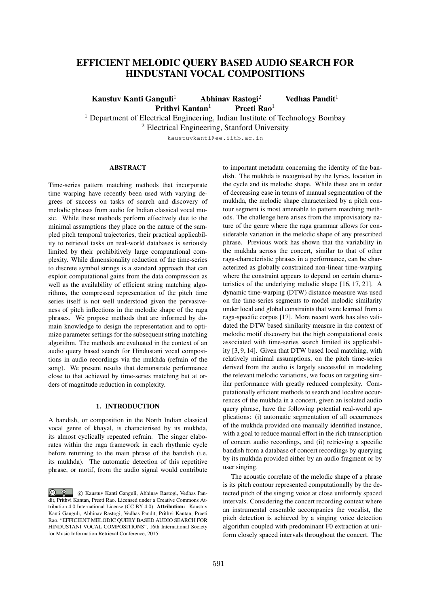# EFFICIENT MELODIC QUERY BASED AUDIO SEARCH FOR HINDUSTANI VOCAL COMPOSITIONS

Kaustuv Kanti Ganguli<sup>1</sup> Abhinav Rastogi<sup>2</sup> Vedhas Pandit<sup>1</sup> Prithvi Kantan<sup>1</sup> Preeti Rao<sup>1</sup>

<sup>1</sup> Department of Electrical Engineering, Indian Institute of Technology Bombay <sup>2</sup> Electrical Engineering, Stanford University

kaustuvkanti@ee.iitb.ac.in

#### ABSTRACT

Time-series pattern matching methods that incorporate time warping have recently been used with varying degrees of success on tasks of search and discovery of melodic phrases from audio for Indian classical vocal music. While these methods perform effectively due to the minimal assumptions they place on the nature of the sampled pitch temporal trajectories, their practical applicability to retrieval tasks on real-world databases is seriously limited by their prohibitively large computational complexity. While dimensionality reduction of the time-series to discrete symbol strings is a standard approach that can exploit computational gains from the data compression as well as the availability of efficient string matching algorithms, the compressed representation of the pitch time series itself is not well understood given the pervasiveness of pitch inflections in the melodic shape of the raga phrases. We propose methods that are informed by domain knowledge to design the representation and to optimize parameter settings for the subsequent string matching algorithm. The methods are evaluated in the context of an audio query based search for Hindustani vocal compositions in audio recordings via the mukhda (refrain of the song). We present results that demonstrate performance close to that achieved by time-series matching but at orders of magnitude reduction in complexity.

# 1. INTRODUCTION

A bandish, or composition in the North Indian classical vocal genre of khayal, is characterised by its mukhda, its almost cyclically repeated refrain. The singer elaborates within the raga framework in each rhythmic cycle before returning to the main phrase of the bandish (i.e. its mukhda). The automatic detection of this repetitive phrase, or motif, from the audio signal would contribute to important metadata concerning the identity of the bandish. The mukhda is recognised by the lyrics, location in the cycle and its melodic shape. While these are in order of decreasing ease in terms of manual segmentation of the mukhda, the melodic shape characterized by a pitch contour segment is most amenable to pattern matching methods. The challenge here arises from the improvisatory nature of the genre where the raga grammar allows for considerable variation in the melodic shape of any prescribed phrase. Previous work has shown that the variability in the mukhda across the concert, similar to that of other raga-characteristic phrases in a performance, can be characterized as globally constrained non-linear time-warping where the constraint appears to depend on certain characteristics of the underlying melodic shape [16, 17, 21]. A dynamic time-warping (DTW) distance measure was used on the time-series segments to model melodic similarity under local and global constraints that were learned from a raga-specific corpus [17]. More recent work has also validated the DTW based similarity measure in the context of melodic motif discovery but the high computational costs associated with time-series search limited its applicability [3, 9, 14]. Given that DTW based local matching, with relatively minimal assumptions, on the pitch time-series derived from the audio is largely successful in modeling the relevant melodic variations, we focus on targeting similar performance with greatly reduced complexity. Computationally efficient methods to search and localize occurrences of the mukhda in a concert, given an isolated audio query phrase, have the following potential real-world applications: (i) automatic segmentation of all occurrences of the mukhda provided one manually identified instance, with a goal to reduce manual effort in the rich transcription of concert audio recordings, and (ii) retrieving a specific bandish from a database of concert recordings by querying by its mukhda provided either by an audio fragment or by user singing.

The acoustic correlate of the melodic shape of a phrase is its pitch contour represented computationally by the detected pitch of the singing voice at close uniformly spaced intervals. Considering the concert recording context where an instrumental ensemble accompanies the vocalist, the pitch detection is achieved by a singing voice detection algorithm coupled with predominant F0 extraction at uniform closely spaced intervals throughout the concert. The

 $\circ$   $\circ$ c Kaustuv Kanti Ganguli, Abhinav Rastogi, Vedhas Pandit, Prithvi Kantan, Preeti Rao. Licensed under a Creative Commons Attribution 4.0 International License (CC BY 4.0). Attribution: Kaustuv Kanti Ganguli, Abhinav Rastogi, Vedhas Pandit, Prithvi Kantan, Preeti Rao. "EFFICIENT MELODIC QUERY BASED AUDIO SEARCH FOR HINDUSTANI VOCAL COMPOSITIONS", 16th International Society for Music Information Retrieval Conference, 2015.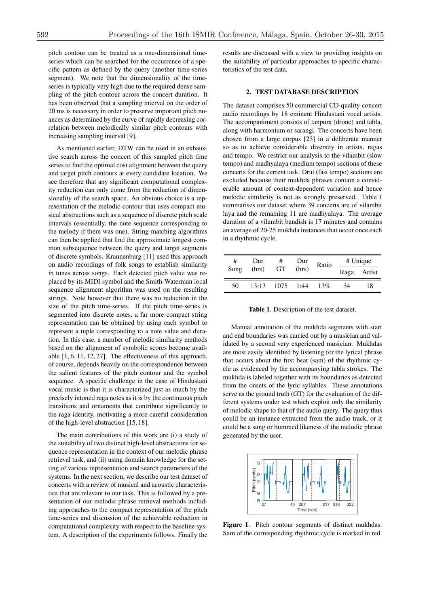pitch contour can be treated as a one-dimensional timeseries which can be searched for the occurrence of a specific pattern as defined by the query (another time-series segment). We note that the dimensionality of the timeseries is typically very high due to the required dense sampling of the pitch contour across the concert duration. It has been observed that a sampling interval on the order of 20 ms is necessary in order to preserve important pitch nuances as determined by the curve of rapidly decreasing correlation between melodically similar pitch contours with increasing sampling interval [9].

As mentioned earlier, DTW can be used in an exhaustive search across the concert of this sampled pitch time series to find the optimal cost alignment between the query and target pitch contours at every candidate location. We see therefore that any significant computational complexity reduction can only come from the reduction of dimensionality of the search space. An obvious choice is a representation of the melodic contour that uses compact musical abstractions such as a sequence of discrete pitch scale intervals (essentially, the note sequence corresponding to the melody if there was one). String-matching algorithms can then be applied that find the approximate longest common subsequence between the query and target segments of discrete symbols. Krannenburg [11] used this approach on audio recordings of folk songs to establish similarity in tunes across songs. Each detected pitch value was replaced by its MIDI symbol and the Smith-Waterman local sequence alignment algorithm was used on the resulting strings. Note however that there was no reduction in the size of the pitch time-series. If the pitch time-series is segmented into discrete notes, a far more compact string representation can be obtained by using each symbol to represent a tuple corresponding to a note value and duration. In this case, a number of melodic similarity methods based on the alignment of symbolic scores become available [1, 6, 11, 12, 27]. The effectiveness of this approach, of course, depends heavily on the correspondence between the salient features of the pitch contour and the symbol sequence. A specific challenge in the case of Hindustani vocal music is that it is characterized just as much by the precisely intoned raga notes as it is by the continuous pitch transitions and ornaments that contribute significantly to the raga identity, motivating a more careful consideration of the high-level abstraction [15, 18].

The main contributions of this work are (i) a study of the suitability of two distinct high-level abstractions for sequence representation in the context of our melodic phrase retrieval task, and (ii) using domain knowledge for the setting of various representation and search parameters of the systems. In the next section, we describe our test dataset of concerts with a review of musical and acoustic characteristics that are relevant to our task. This is followed by a presentation of our melodic phrase retrieval methods including approaches to the compact representation of the pitch time-series and discussion of the achievable reduction in computational complexity with respect to the baseline system. A description of the experiments follows. Finally the results are discussed with a view to providing insights on the suitability of particular approaches to specific characteristics of the test data.

# 2. TEST DATABASE DESCRIPTION

The dataset comprises 50 commercial CD-quality concert audio recordings by 18 eminent Hindustani vocal artists. The accompaniment consists of tanpura (drone) and tabla, along with harmonium or sarangi. The concerts have been chosen from a large corpus [23] in a deliberate manner so as to achieve considerable diversity in artists, ragas and tempo. We restrict our analysis to the vilambit (slow tempo) and madhyalaya (medium tempo) sections of these concerts for the current task. Drut (fast tempo) sections are excluded because their mukhda phrases contain a considerable amount of context-dependent variation and hence melodic similarity is not as strongly preserved. Table 1 summarises our dataset where 39 concerts are of vilambit laya and the remaining 11 are madhyalaya. The average duration of a vilambit bandish is 17 minutes and contains an average of 20-25 mukhda instances that occur once each in a rhythmic cycle.

| #    | Dur   | #    | Dur   | Ratio |      | $#$ Unique |  |
|------|-------|------|-------|-------|------|------------|--|
| Song | (hrs) | GT   | (hrs) |       | Raga | Artist     |  |
| 50   | 13:13 | 1075 | 1:44  | 13%   | 34   | 18         |  |

Table 1. Description of the test dataset.

Manual annotation of the mukhda segments with start and end boundaries was carried out by a musician and validated by a second very experienced musician. Mukhdas are most easily identified by listening for the lyrical phrase that occurs about the first beat (sam) of the rhythmic cycle as evidenced by the accompanying tabla strokes. The mukhda is labeled together with its boundaries as detected from the onsets of the lyric syllables. These annotations serve as the ground truth (GT) for the evaluation of the different systems under test which exploit only the similarity of melodic shape to that of the audio query. The query thus could be an instance extracted from the audio track, or it could be a sung or hummed likeness of the melodic phrase generated by the user.



Figure 1. Pitch contour segments of distinct mukhdas. Sam of the corresponding rhythmic cycle is marked in red.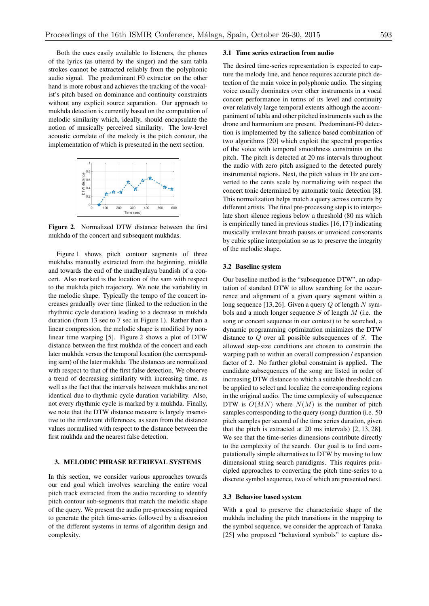Both the cues easily available to listeners, the phones of the lyrics (as uttered by the singer) and the sam tabla strokes cannot be extracted reliably from the polyphonic audio signal. The predominant F0 extractor on the other hand is more robust and achieves the tracking of the vocalist's pitch based on dominance and continuity constraints without any explicit source separation. Our approach to mukhda detection is currently based on the computation of melodic similarity which, ideally, should encapsulate the notion of musically perceived similarity. The low-level acoustic correlate of the melody is the pitch contour, the implementation of which is presented in the next section.



Figure 2. Normalized DTW distance between the first mukhda of the concert and subsequent mukhdas.

Figure 1 shows pitch contour segments of three mukhdas manually extracted from the beginning, middle and towards the end of the madhyalaya bandish of a concert. Also marked is the location of the sam with respect to the mukhda pitch trajectory. We note the variability in the melodic shape. Typically the tempo of the concert increases gradually over time (linked to the reduction in the rhythmic cycle duration) leading to a decrease in mukhda duration (from 13 sec to 7 sec in Figure 1). Rather than a linear compression, the melodic shape is modified by nonlinear time warping [5]. Figure 2 shows a plot of DTW distance between the first mukhda of the concert and each later mukhda versus the temporal location (the corresponding sam) of the later mukhda. The distances are normalized with respect to that of the first false detection. We observe a trend of decreasing similarity with increasing time, as well as the fact that the intervals between mukhdas are not identical due to rhythmic cycle duration variability. Also, not every rhythmic cycle is marked by a mukhda. Finally, we note that the DTW distance measure is largely insensitive to the irrelevant differences, as seen from the distance values normalised with respect to the distance between the first mukhda and the nearest false detection.

# 3. MELODIC PHRASE RETRIEVAL SYSTEMS

In this section, we consider various approaches towards our end goal which involves searching the entire vocal pitch track extracted from the audio recording to identify pitch contour sub-segments that match the melodic shape of the query. We present the audio pre-processing required to generate the pitch time-series followed by a discussion of the different systems in terms of algorithm design and complexity.

# 3.1 Time series extraction from audio

The desired time-series representation is expected to capture the melody line, and hence requires accurate pitch detection of the main voice in polyphonic audio. The singing voice usually dominates over other instruments in a vocal concert performance in terms of its level and continuity over relatively large temporal extents although the accompaniment of tabla and other pitched instruments such as the drone and harmonium are present. Predominant-F0 detection is implemented by the salience based combination of two algorithms [20] which exploit the spectral properties of the voice with temporal smoothness constraints on the pitch. The pitch is detected at 20 ms intervals throughout the audio with zero pitch assigned to the detected purely instrumental regions. Next, the pitch values in Hz are converted to the cents scale by normalizing with respect the concert tonic determined by automatic tonic detection [8]. This normalization helps match a query across concerts by different artists. The final pre-processing step is to interpolate short silence regions below a threshold (80 ms which is empirically tuned in previous studies [16,17]) indicating musically irrelevant breath pauses or unvoiced consonants by cubic spline interpolation so as to preserve the integrity of the melodic shape.

### 3.2 Baseline system

Our baseline method is the "subsequence DTW", an adaptation of standard DTW to allow searching for the occurrence and alignment of a given query segment within a long sequence [13, 26]. Given a query *Q* of length *N* symbols and a much longer sequence *S* of length *M* (i.e. the song or concert sequence in our context) to be searched, a dynamic programming optimization minimizes the DTW distance to *Q* over all possible subsequences of *S*. The allowed step-size conditions are chosen to constrain the warping path to within an overall compression / expansion factor of 2. No further global constraint is applied. The candidate subsequences of the song are listed in order of increasing DTW distance to which a suitable threshold can be applied to select and localize the corresponding regions in the original audio. The time complexity of subsequence DTW is  $O(MN)$  where  $N(M)$  is the number of pitch samples corresponding to the query (song) duration (i.e. 50 pitch samples per second of the time series duration, given that the pitch is extracted at 20 ms intervals) [2, 13, 28]. We see that the time-series dimensions contribute directly to the complexity of the search. Our goal is to find computationally simple alternatives to DTW by moving to low dimensional string search paradigms. This requires principled approaches to converting the pitch time-series to a discrete symbol sequence, two of which are presented next.

#### 3.3 Behavior based system

With a goal to preserve the characteristic shape of the mukhda including the pitch transitions in the mapping to the symbol sequence, we consider the approach of Tanaka [25] who proposed "behavioral symbols" to capture dis-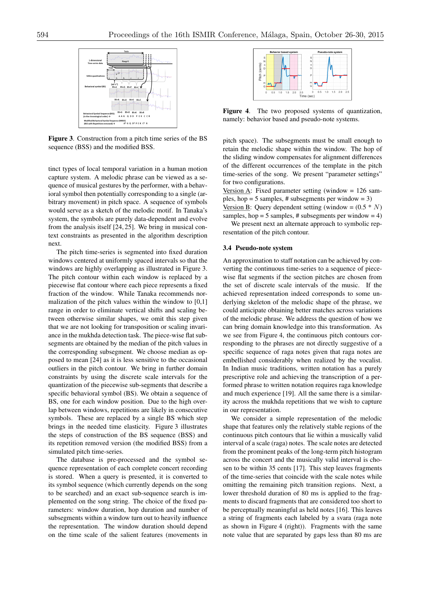

Figure 3. Construction from a pitch time series of the BS sequence (BSS) and the modified BSS.

tinct types of local temporal variation in a human motion capture system. A melodic phrase can be viewed as a sequence of musical gestures by the performer, with a behavioral symbol then potentially corresponding to a single (arbitrary movement) in pitch space. A sequence of symbols would serve as a sketch of the melodic motif. In Tanaka's system, the symbols are purely data-dependent and evolve from the analysis itself [24, 25]. We bring in musical context constraints as presented in the algorithm description next.

The pitch time-series is segmented into fixed duration windows centered at uniformly spaced intervals so that the windows are highly overlapping as illustrated in Figure 3. The pitch contour within each window is replaced by a piecewise flat contour where each piece represents a fixed fraction of the window. While Tanaka recommends normalization of the pitch values within the window to [0,1] range in order to eliminate vertical shifts and scaling between otherwise similar shapes, we omit this step given that we are not looking for transposition or scaling invariance in the mukhda detection task. The piece-wise flat subsegments are obtained by the median of the pitch values in the corresponding subsegment. We choose median as opposed to mean [24] as it is less sensitive to the occasional outliers in the pitch contour. We bring in further domain constraints by using the discrete scale intervals for the quantization of the piecewise sub-segments that describe a specific behavioral symbol (BS). We obtain a sequence of BS, one for each window position. Due to the high overlap between windows, repetitions are likely in consecutive symbols. These are replaced by a single BS which step brings in the needed time elasticity. Figure 3 illustrates the steps of construction of the BS sequence (BSS) and its repetition removed version (the modified BSS) from a simulated pitch time-series.

The database is pre-processed and the symbol sequence representation of each complete concert recording is stored. When a query is presented, it is converted to its symbol sequence (which currently depends on the song to be searched) and an exact sub-sequence search is implemented on the song string. The choice of the fixed parameters: window duration, hop duration and number of subsegments within a window turn out to heavily influence the representation. The window duration should depend on the time scale of the salient features (movements in



Figure 4. The two proposed systems of quantization, namely: behavior based and pseudo-note systems.

pitch space). The subsegments must be small enough to retain the melodic shape within the window. The hop of the sliding window compensates for alignment differences of the different occurrences of the template in the pitch time-series of the song. We present "parameter settings" for two configurations.

Version A: Fixed parameter setting (window  $= 126$  samples, hop  $= 5$  samples, # subsegments per window  $= 3$ ) Version B: Query dependent setting (window =  $(0.5 * N)$ ) samples, hop = 5 samples,  $\#$  subsegments per window = 4)

We present next an alternate approach to symbolic representation of the pitch contour.

# 3.4 Pseudo-note system

An approximation to staff notation can be achieved by converting the continuous time-series to a sequence of piecewise flat segments if the section pitches are chosen from the set of discrete scale intervals of the music. If the achieved representation indeed corresponds to some underlying skeleton of the melodic shape of the phrase, we could anticipate obtaining better matches across variations of the melodic phrase. We address the question of how we can bring domain knowledge into this transformation. As we see from Figure 4, the continuous pitch contours corresponding to the phrases are not directly suggestive of a specific sequence of raga notes given that raga notes are embellished considerably when realized by the vocalist. In Indian music traditions, written notation has a purely prescriptive role and achieving the transcription of a performed phrase to written notation requires raga knowledge and much experience [19]. All the same there is a similarity across the mukhda repetitions that we wish to capture in our representation.

We consider a simple representation of the melodic shape that features only the relatively stable regions of the continuous pitch contours that lie within a musically valid interval of a scale (raga) notes. The scale notes are detected from the prominent peaks of the long-term pitch histogram across the concert and the musically valid interval is chosen to be within 35 cents [17]. This step leaves fragments of the time-series that coincide with the scale notes while omitting the remaining pitch transition regions. Next, a lower threshold duration of 80 ms is applied to the fragments to discard fragments that are considered too short to be perceptually meaningful as held notes [16]. This leaves a string of fragments each labeled by a svara (raga note as shown in Figure 4 (right)). Fragments with the same note value that are separated by gaps less than 80 ms are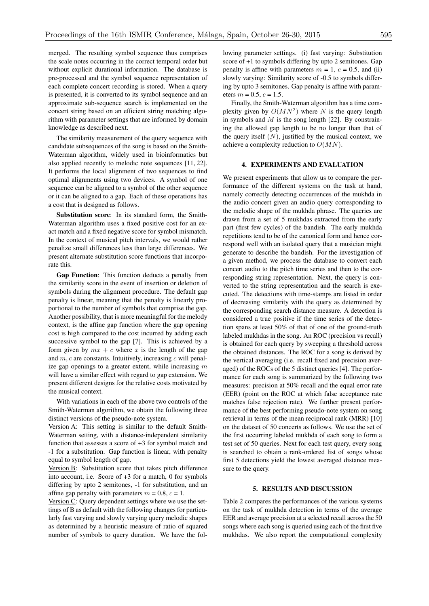merged. The resulting symbol sequence thus comprises the scale notes occurring in the correct temporal order but without explicit durational information. The database is pre-processed and the symbol sequence representation of each complete concert recording is stored. When a query is presented, it is converted to its symbol sequence and an approximate sub-sequence search is implemented on the concert string based on an efficient string matching algorithm with parameter settings that are informed by domain knowledge as described next.

The similarity measurement of the query sequence with candidate subsequences of the song is based on the Smith-Waterman algorithm, widely used in bioinformatics but also applied recently to melodic note sequences [11, 22]. It performs the local alignment of two sequences to find optimal alignments using two devices. A symbol of one sequence can be aligned to a symbol of the other sequence or it can be aligned to a gap. Each of these operations has a cost that is designed as follows.

Substitution score: In its standard form, the Smith-Waterman algorithm uses a fixed positive cost for an exact match and a fixed negative score for symbol mismatch. In the context of musical pitch intervals, we would rather penalize small differences less than large differences. We present alternate substitution score functions that incorporate this.

Gap Function: This function deducts a penalty from the similarity score in the event of insertion or deletion of symbols during the alignment procedure. The default gap penalty is linear, meaning that the penalty is linearly proportional to the number of symbols that comprise the gap. Another possibility, that is more meaningful for the melody context, is the affine gap function where the gap opening cost is high compared to the cost incurred by adding each successive symbol to the gap [7]. This is achieved by a form given by  $mx + c$  where x is the length of the gap and *m, c* are constants. Intuitively, increasing *c* will penalize gap openings to a greater extent, while increasing *m* will have a similar effect with regard to gap extension. We present different designs for the relative costs motivated by the musical context.

With variations in each of the above two controls of the Smith-Waterman algorithm, we obtain the following three distinct versions of the pseudo-note system.

Version A: This setting is similar to the default Smith-Waterman setting, with a distance-independent similarity function that assesses a score of +3 for symbol match and -1 for a substitution. Gap function is linear, with penalty equal to symbol length of gap.

Version B: Substitution score that takes pitch difference into account, i.e. Score of +3 for a match, 0 for symbols differing by upto 2 semitones, -1 for substitution, and an affine gap penalty with parameters  $m = 0.8$ ,  $c = 1$ .

Version C: Query dependent settings where we use the settings of B as default with the following changes for particularly fast varying and slowly varying query melodic shapes as determined by a heuristic measure of ratio of squared number of symbols to query duration. We have the following parameter settings. (i) fast varying: Substitution score of +1 to symbols differing by upto 2 semitones. Gap penalty is affine with parameters  $m = 1$ ,  $c = 0.5$ , and (ii) slowly varying: Similarity score of -0.5 to symbols differing by upto 3 semitones. Gap penalty is affine with parameters  $m = 0.5$ ,  $c = 1.5$ .

Finally, the Smith-Waterman algorithm has a time complexity given by  $O(MN^2)$  where *N* is the query length in symbols and *M* is the song length [22]. By constraining the allowed gap length to be no longer than that of the query itself  $(N)$ , justified by the musical context, we achieve a complexity reduction to *O*(*MN*).

### 4. EXPERIMENTS AND EVALUATION

We present experiments that allow us to compare the performance of the different systems on the task at hand, namely correctly detecting occurrences of the mukhda in the audio concert given an audio query corresponding to the melodic shape of the mukhda phrase. The queries are drawn from a set of 5 mukhdas extracted from the early part (first few cycles) of the bandish. The early mukhda repetitions tend to be of the canonical form and hence correspond well with an isolated query that a musician might generate to describe the bandish. For the investigation of a given method, we process the database to convert each concert audio to the pitch time series and then to the corresponding string representation. Next, the query is converted to the string representation and the search is executed. The detections with time-stamps are listed in order of decreasing similarity with the query as determined by the corresponding search distance measure. A detection is considered a true positive if the time series of the detection spans at least 50% of that of one of the ground-truth labeled mukhdas in the song. An ROC (precision vs recall) is obtained for each query by sweeping a threshold across the obtained distances. The ROC for a song is derived by the vertical averaging (i.e. recall fixed and precision averaged) of the ROCs of the 5 distinct queries [4]. The performance for each song is summarized by the following two measures: precision at 50% recall and the equal error rate (EER) (point on the ROC at which false acceptance rate matches false rejection rate). We further present performance of the best performing pseudo-note system on song retrieval in terms of the mean reciprocal rank (MRR) [10] on the dataset of 50 concerts as follows. We use the set of the first occurring labeled mukhda of each song to form a test set of 50 queries. Next for each test query, every song is searched to obtain a rank-ordered list of songs whose first 5 detections yield the lowest averaged distance measure to the query.

#### 5. RESULTS AND DISCUSSION

Table 2 compares the performances of the various systems on the task of mukhda detection in terms of the average EER and average precision at a selected recall across the 50 songs where each song is queried using each of the first five mukhdas. We also report the computational complexity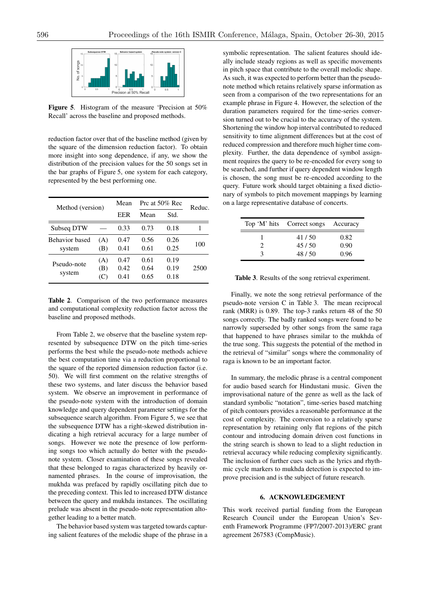

Figure 5. Histogram of the measure 'Precision at 50% Recall' across the baseline and proposed methods.

reduction factor over that of the baseline method (given by the square of the dimension reduction factor). To obtain more insight into song dependence, if any, we show the distribution of the precision values for the 50 songs set in the bar graphs of Figure 5, one system for each category, represented by the best performing one.

| Method (version)                |                   | Mean                 | Prc at 50% Rec       |                      | Reduc. |
|---------------------------------|-------------------|----------------------|----------------------|----------------------|--------|
|                                 |                   | EER                  | Mean                 | Std.                 |        |
| Subseq DTW                      |                   | 0.33                 | 0.73                 | 0.18                 |        |
| <b>Behavior</b> based<br>system | (A)<br>(B)        | 0.47<br>0.41         | 0.56<br>0.61         | 0.26<br>0.25         | 100    |
| Pseudo-note<br>system           | (A)<br>(B)<br>(C) | 0.47<br>0.42<br>0.41 | 0.61<br>0.64<br>0.65 | 0.19<br>0.19<br>0.18 | 2500   |

Table 2. Comparison of the two performance measures and computational complexity reduction factor across the baseline and proposed methods.

From Table 2, we observe that the baseline system represented by subsequence DTW on the pitch time-series performs the best while the pseudo-note methods achieve the best computation time via a reduction proportional to the square of the reported dimension reduction factor (i.e. 50). We will first comment on the relative strengths of these two systems, and later discuss the behavior based system. We observe an improvement in performance of the pseudo-note system with the introduction of domain knowledge and query dependent parameter settings for the subsequence search algorithm. From Figure 5, we see that the subsequence DTW has a right-skewed distribution indicating a high retrieval accuracy for a large number of songs. However we note the presence of low performing songs too which actually do better with the pseudonote system. Closer examination of these songs revealed that these belonged to ragas characterized by heavily ornamented phrases. In the course of improvisation, the mukhda was prefaced by rapidly oscillating pitch due to the preceding context. This led to increased DTW distance between the query and mukhda instances. The oscillating prelude was absent in the pseudo-note representation altogether leading to a better match.

The behavior based system was targeted towards capturing salient features of the melodic shape of the phrase in a symbolic representation. The salient features should ideally include steady regions as well as specific movements in pitch space that contribute to the overall melodic shape. As such, it was expected to perform better than the pseudonote method which retains relatively sparse information as seen from a comparison of the two representations for an example phrase in Figure 4. However, the selection of the duration parameters required for the time-series conversion turned out to be crucial to the accuracy of the system. Shortening the window hop interval contributed to reduced sensitivity to time alignment differences but at the cost of reduced compression and therefore much higher time complexity. Further, the data dependence of symbol assignment requires the query to be re-encoded for every song to be searched, and further if query dependent window length is chosen, the song must be re-encoded according to the query. Future work should target obtaining a fixed dictionary of symbols to pitch movement mappings by learning on a large representative database of concerts.

|   | Top 'M' hits Correct songs Accuracy |      |  |
|---|-------------------------------------|------|--|
|   | 41/50                               | 0.82 |  |
|   | 45/50                               | 0.90 |  |
| 3 | 48/50                               | 0.96 |  |

Table 3. Results of the song retrieval experiment.

Finally, we note the song retrieval performance of the pseudo-note version C in Table 3. The mean reciprocal rank (MRR) is 0.89. The top-3 ranks return 48 of the 50 songs correctly. The badly ranked songs were found to be narrowly superseded by other songs from the same raga that happened to have phrases similar to the mukhda of the true song. This suggests the potential of the method in the retrieval of "similar" songs where the commonality of raga is known to be an important factor.

In summary, the melodic phrase is a central component for audio based search for Hindustani music. Given the improvisational nature of the genre as well as the lack of standard symbolic "notation", time-series based matching of pitch contours provides a reasonable performance at the cost of complexity. The conversion to a relatively sparse representation by retaining only flat regions of the pitch contour and introducing domain driven cost functions in the string search is shown to lead to a slight reduction in retrieval accuracy while reducing complexity significantly. The inclusion of further cues such as the lyrics and rhythmic cycle markers to mukhda detection is expected to improve precision and is the subject of future research.

# 6. ACKNOWLEDGEMENT

This work received partial funding from the European Research Council under the European Union's Seventh Framework Programme (FP7/2007-2013)/ERC grant agreement 267583 (CompMusic).